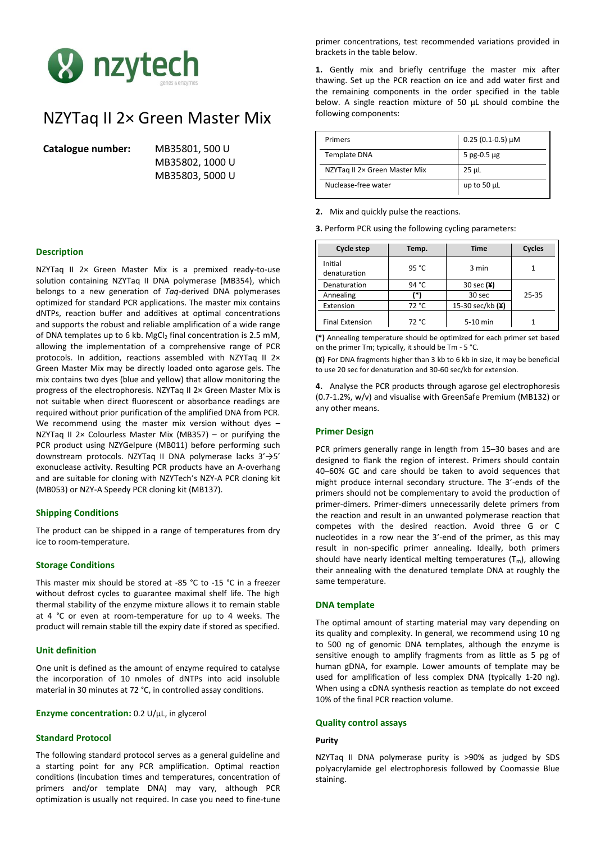

# NZYTaq II 2× Green Master Mix

**Catalogue number:** MB35801, 500 U

MB35802, 1000 U MB35803, 5000 U

## **Description**

NZYTaq II 2× Green Master Mix is a premixed ready-to-use solution containing NZYTaq II DNA polymerase (MB354), which belongs to a new generation of *Taq*-derived DNA polymerases optimized for standard PCR applications. The master mix contains dNTPs, reaction buffer and additives at optimal concentrations and supports the robust and reliable amplification of a wide range of DNA templates up to 6 kb. MgCl<sub>2</sub> final concentration is 2.5 mM, allowing the implementation of a comprehensive range of PCR protocols. In addition, reactions assembled with NZYTaq II 2x Green Master Mix may be directly loaded onto agarose gels. The mix contains two dyes (blue and yellow) that allow monitoring the progress of the electrophoresis. NZYTaq II 2× Green Master Mix is not suitable when direct fluorescent or absorbance readings are required without prior purification of the amplified DNA from PCR. We recommend using the master mix version without dyes -NZYTaq II 2 $\times$  Colourless Master Mix (MB357) – or purifying the PCR product using NZYGelpure (MB011) before performing such downstream protocols. NZYTaq II DNA polymerase lacks 3'→5' exonuclease activity. Resulting PCR products have an A-overhang and are suitable for cloning with NZYTech's NZY-A PCR cloning kit (MB053) or NZY-A Speedy PCR cloning kit (MB137).

### **Shipping Conditions**

The product can be shipped in a range of temperatures from dry ice to room-temperature.

## **Storage Conditions**

This master mix should be stored at -85 °C to -15 °C in a freezer without defrost cycles to guarantee maximal shelf life. The high thermal stability of the enzyme mixture allows it to remain stable at 4 °C or even at room-temperature for up to 4 weeks. The product will remain stable till the expiry date if stored as specified.

## **Unit definition**

One unit is defined as the amount of enzyme required to catalyse the incorporation of 10 nmoles of dNTPs into acid insoluble material in 30 minutes at 72 °C, in controlled assay conditions.

**Enzyme concentration:** 0.2 U/μL, in glycerol

## **Standard Protocol**

The following standard protocol serves as a general guideline and a starting point for any PCR amplification. Optimal reaction conditions (incubation times and temperatures, concentration of primers and/or template DNA) may vary, although PCR optimization is usually not required. In case you need to fine-tune

primer concentrations, test recommended variations provided in brackets in the table below.

**1.** Gently mix and briefly centrifuge the master mix after thawing. Set up the PCR reaction on ice and add water first and the remaining components in the order specified in the table below. A single reaction mixture of 50 μL should combine the following components:

| Primers                       | $0.25(0.1-0.5)$ µM |
|-------------------------------|--------------------|
| <b>Template DNA</b>           | 5 pg-0.5 $\mu$ g   |
| NZYTag II 2x Green Master Mix | 25 µL              |
| Nuclease-free water           | up to 50 $\mu$ L   |

**2.** Mix and quickly pulse the reactions.

**3.** Perform PCR using the following cycling parameters:

| Cycle step              | Temp. | <b>Time</b>      | Cycles |
|-------------------------|-------|------------------|--------|
| Initial<br>denaturation | 95 °C | 3 min            |        |
| Denaturation            | 94 °C | 30 sec $(\yen)$  |        |
| Annealing               | *     | 30 sec           | 25-35  |
| Extension               | 72 °C | 15-30 sec/kb (¥) |        |
| <b>Final Extension</b>  | 72 °C | $5-10$ min       |        |

**(\*)** Annealing temperature should be optimized for each primer set based on the primer Tm; typically, it should be Tm - 5 °C.

**(¥)** For DNA fragments higher than 3 kb to 6 kb in size, it may be beneficial to use 20 sec for denaturation and 30-60 sec/kb for extension.

**4.** Analyse the PCR products through agarose gel electrophoresis (0.7-1.2%, w/v) and visualise with GreenSafe Premium (MB132) or any other means.

## **Primer Design**

PCR primers generally range in length from 15–30 bases and are designed to flank the region of interest. Primers should contain 40–60% GC and care should be taken to avoid sequences that might produce internal secondary structure. The 3'-ends of the primers should not be complementary to avoid the production of primer-dimers. Primer-dimers unnecessarily delete primers from the reaction and result in an unwanted polymerase reaction that competes with the desired reaction. Avoid three G or C nucleotides in a row near the 3'-end of the primer, as this may result in non-specific primer annealing. Ideally, both primers should have nearly identical melting temperatures  $(T_m)$ , allowing their annealing with the denatured template DNA at roughly the same temperature.

#### **DNA template**

The optimal amount of starting material may vary depending on its quality and complexity. In general, we recommend using 10 ng to 500 ng of genomic DNA templates, although the enzyme is sensitive enough to amplify fragments from as little as 5 pg of human gDNA, for example. Lower amounts of template may be used for amplification of less complex DNA (typically 1-20 ng). When using a cDNA synthesis reaction as template do not exceed 10% of the final PCR reaction volume.

#### **Quality control assays**

#### **Purity**

NZYTaq II DNA polymerase purity is >90% as judged by SDS polyacrylamide gel electrophoresis followed by Coomassie Blue staining.